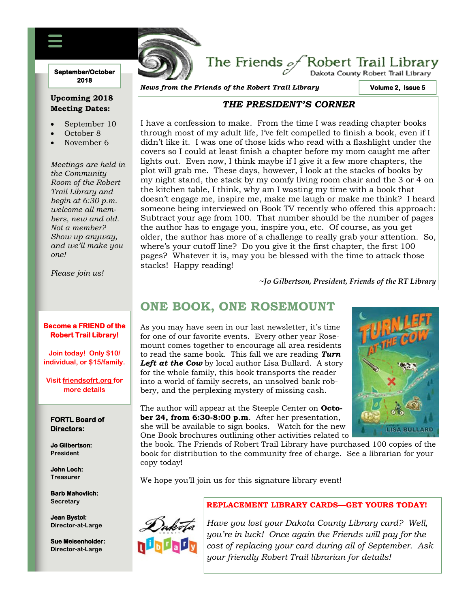#### **September/October 2018**

### **Upcoming 2018 Meeting Dates:**

- September 10
- October 8
- November 6

*Meetings are held in the Community Room of the Robert Trail Library and begin at 6:30 p.m. welcome all members, new and old. Not a member? Show up anyway, and we'll make you one!*

*Please join us!*

#### **Become a FRIEND of the Robert Trail Library!**

**Join today! Only \$10/ individual, or \$15/family.**

**Visit friendsofrt.org for more details**

#### **FORTL Board of Directors:**

**Jo Gilbertson: President**

**John Loch: Treasurer**

**Barb Mahovlich: Secretary**

**Jean Bystol: Director-at-Large**

**Sue Meisenholder: Director-at-Large**

*News from the Friends of the Robert Trail Library*

FRIENDS OF THE ROBERT TRAIL LIBRARY NEWSFILM

**Volume 2, Issue 5** 

.<br>Dakota County Robert Trail Library

### *THE PRESIDENT'S CORNER*

The Friends  $\mathscr{A}$ Robert Trail Library

I have a confession to make. From the time I was reading chapter books through most of my adult life, I've felt compelled to finish a book, even if I didn't like it. I was one of those kids who read with a flashlight under the covers so I could at least finish a chapter before my mom caught me after lights out. Even now, I think maybe if I give it a few more chapters, the plot will grab me. These days, however, I look at the stacks of books by my night stand, the stack by my comfy living room chair and the 3 or 4 on the kitchen table, I think, why am I wasting my time with a book that doesn't engage me, inspire me, make me laugh or make me think? I heard someone being interviewed on Book TV recently who offered this approach: Subtract your age from 100. That number should be the number of pages the author has to engage you, inspire you, etc. Of course, as you get older, the author has more of a challenge to really grab your attention. So, where's your cutoff line? Do you give it the first chapter, the first 100 pages? Whatever it is, may you be blessed with the time to attack those stacks! Happy reading!

**~***Jo Gilbertson, President, Friends of the RT Library*

## **ONE BOOK, ONE ROSEMOUNT**

As you may have seen in our last newsletter, it's time for one of our favorite events. Every other year Rosemount comes together to encourage all area residents to read the same book. This fall we are reading *Turn*  Left at the Cow by local author Lisa Bullard. A story for the whole family, this book transports the reader into a world of family secrets, an unsolved bank robbery, and the perplexing mystery of missing cash.



The author will appear at the Steeple Center on **October 24, from 6:30-8:00 p.m**. After her presentation, she will be available to sign books. Watch for the new One Book brochures outlining other activities related to

the book. The Friends of Robert Trail Library have purchased 100 copies of the book for distribution to the community free of charge. See a librarian for your copy today!

We hope you'll join us for this signature library event!



### **REPLACEMENT LIBRARY CARDS—GET YOURS TODAY!**

*Have you lost your Dakota County Library card? Well, you're in luck! Once again the Friends will pay for the cost of replacing your card during all of September. Ask your friendly Robert Trail librarian for details!*